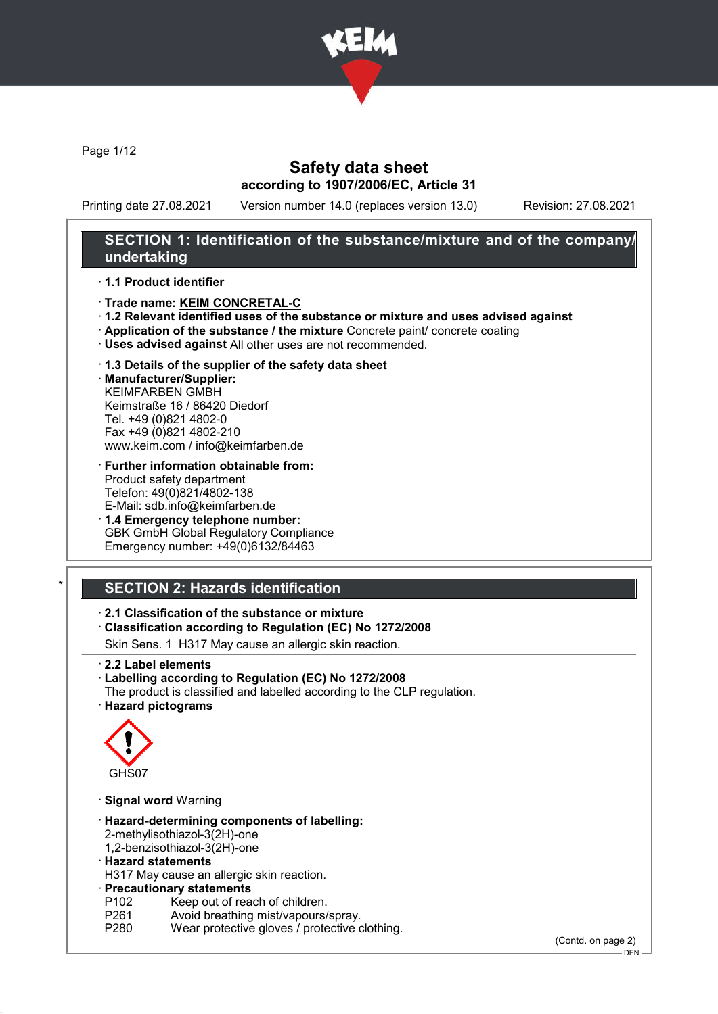

Page 1/12

## Safety data sheet according to 1907/2006/EC, Article 31

Printing date 27.08.2021 Version number 14.0 (replaces version 13.0) Revision: 27.08.2021

## SECTION 1: Identification of the substance/mixture and of the company/ undertaking

#### · 1.1 Product identifier

- · Trade name: KEIM CONCRETAL-C
- · 1.2 Relevant identified uses of the substance or mixture and uses advised against
- · Application of the substance / the mixture Concrete paint/ concrete coating
- · Uses advised against All other uses are not recommended.
- · 1.3 Details of the supplier of the safety data sheet

· Manufacturer/Supplier: KEIMFARBEN GMBH Keimstraße 16 / 86420 Diedorf Tel. +49 (0)821 4802-0 Fax +49 (0)821 4802-210 www.keim.com / info@keimfarben.de

- · Further information obtainable from: Product safety department Telefon: 49(0)821/4802-138 E-Mail: sdb.info@keimfarben.de
- · 1.4 Emergency telephone number: GBK GmbH Global Regulatory Compliance Emergency number: +49(0)6132/84463

# **SECTION 2: Hazards identification**

· 2.1 Classification of the substance or mixture

· Classification according to Regulation (EC) No 1272/2008

Skin Sens. 1 H317 May cause an allergic skin reaction.

- · 2.2 Label elements
- · Labelling according to Regulation (EC) No 1272/2008
- The product is classified and labelled according to the CLP regulation.
- · Hazard pictograms



- · Signal word Warning
- · Hazard-determining components of labelling: 2-methylisothiazol-3(2H)-one 1,2-benzisothiazol-3(2H)-one
- · Hazard statements

H317 May cause an allergic skin reaction.

· Precautionary statements

- P102 Keep out of reach of children.<br>P261 Avoid breathing mist/vapours/
- P261 Avoid breathing mist/vapours/spray.<br>P280 Wear protective gloves / protective o
- Wear protective gloves / protective clothing.

(Contd. on page 2)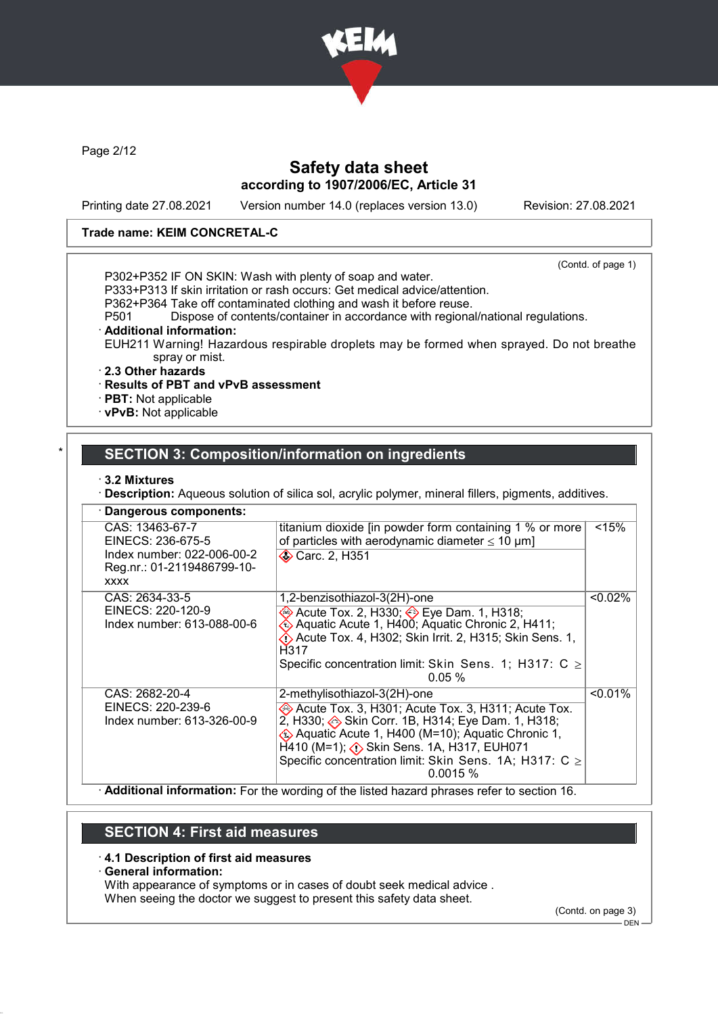

Page 2/12

# Safety data sheet according to 1907/2006/EC, Article 31

Printing date 27.08.2021 Version number 14.0 (replaces version 13.0) Revision: 27.08.2021

### Trade name: KEIM CONCRETAL-C

(Contd. of page 1)

P302+P352 IF ON SKIN: Wash with plenty of soap and water.

P333+P313 If skin irritation or rash occurs: Get medical advice/attention.

P362+P364 Take off contaminated clothing and wash it before reuse.

P501 Dispose of contents/container in accordance with regional/national regulations.

#### Additional information:

EUH211 Warning! Hazardous respirable droplets may be formed when sprayed. Do not breathe spray or mist.

#### · 2.3 Other hazards

#### · Results of PBT and vPvB assessment

· PBT: Not applicable

· vPvB: Not applicable

## **SECTION 3: Composition/information on ingredients**

#### · 3.2 Mixtures

· Description: Aqueous solution of silica sol, acrylic polymer, mineral fillers, pigments, additives.

| · Dangerous components:                                                                                         |                                                                                                                                                                                                                                                                                                                                 |            |
|-----------------------------------------------------------------------------------------------------------------|---------------------------------------------------------------------------------------------------------------------------------------------------------------------------------------------------------------------------------------------------------------------------------------------------------------------------------|------------|
| CAS: 13463-67-7<br>EINECS: 236-675-5<br>Index number: 022-006-00-2<br>Reg.nr.: 01-2119486799-10-<br><b>XXXX</b> | titanium dioxide [in powder form containing 1 % or more<br>of particles with aerodynamic diameter $\leq 10 \mu m$ ]<br><b>◆ Carc. 2, H351</b>                                                                                                                                                                                   | < 15%      |
| CAS: 2634-33-5<br>EINECS: 220-120-9<br>Index number: 613-088-00-6                                               | 1,2-benzisothiazol-3(2H)-one<br>Acute Tox. 2, H330; <b>Eye Dam. 1, H318</b> ;<br>Ke> Aquatic Acute 1, H400; Aquatic Chronic 2, H411;<br>Acute Tox. 4, H302; Skin Irrit. 2, H315; Skin Sens. 1,<br>H317<br>Specific concentration limit: Skin Sens. 1; H317: $C \ge$<br>$0.05\%$                                                 | $< 0.02\%$ |
| CAS: 2682-20-4<br>EINECS: 220-239-6<br>Index number: 613-326-00-9                                               | 2-methylisothiazol-3(2H)-one<br>Acute Tox. 3, H301; Acute Tox. 3, H311; Acute Tox.<br>2, H330; Skin Corr. 1B, H314; Eye Dam. 1, H318;<br>EXA Aquatic Acute 1, H400 (M=10); Aquatic Chronic 1,<br>$H$ 410 (M=1); $\diamondsuit$ Skin Sens. 1A, H317, EUH071<br>Specific concentration limit: Skin Sens. 1A; H317: C ≥<br>0.0015% | $< 0.01\%$ |

· Additional information: For the wording of the listed hazard phrases refer to section 16.

## SECTION 4: First aid measures

#### · 4.1 Description of first aid measures

#### General information:

With appearance of symptoms or in cases of doubt seek medical advice . When seeing the doctor we suggest to present this safety data sheet.

(Contd. on page 3)

DEN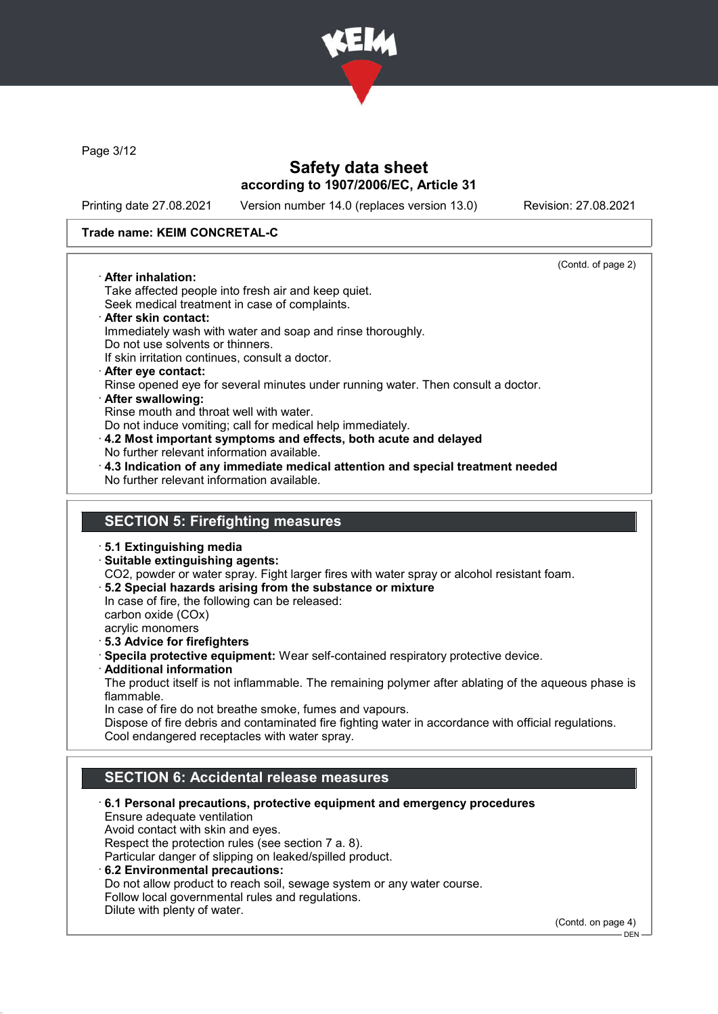

Page 3/12

## Safety data sheet according to 1907/2006/EC, Article 31

Printing date 27.08.2021 Version number 14.0 (replaces version 13.0) Revision: 27.08.2021

### Trade name: KEIM CONCRETAL-C

(Contd. of page 2)

· After inhalation: Take affected people into fresh air and keep quiet. Seek medical treatment in case of complaints.

- · After skin contact: Immediately wash with water and soap and rinse thoroughly. Do not use solvents or thinners.
- If skin irritation continues, consult a doctor. · After eye contact:
- Rinse opened eye for several minutes under running water. Then consult a doctor. · After swallowing:
- Rinse mouth and throat well with water.
- Do not induce vomiting; call for medical help immediately.
- · 4.2 Most important symptoms and effects, both acute and delayed No further relevant information available.
- · 4.3 Indication of any immediate medical attention and special treatment needed No further relevant information available.

## SECTION 5: Firefighting measures

- · 5.1 Extinguishing media
- · Suitable extinguishing agents:

CO2, powder or water spray. Fight larger fires with water spray or alcohol resistant foam.

· 5.2 Special hazards arising from the substance or mixture

In case of fire, the following can be released: carbon oxide (COx)

- acrylic monomers
- · 5.3 Advice for firefighters
- · Specila protective equipment: Wear self-contained respiratory protective device.
- · Additional information

The product itself is not inflammable. The remaining polymer after ablating of the aqueous phase is flammable.

In case of fire do not breathe smoke, fumes and vapours.

Dispose of fire debris and contaminated fire fighting water in accordance with official regulations. Cool endangered receptacles with water spray.

# SECTION 6: Accidental release measures

- · 6.1 Personal precautions, protective equipment and emergency procedures Ensure adequate ventilation Avoid contact with skin and eyes. Respect the protection rules (see section 7 a. 8). Particular danger of slipping on leaked/spilled product. · 6.2 Environmental precautions: Do not allow product to reach soil, sewage system or any water course. Follow local governmental rules and regulations.
	- Dilute with plenty of water.

(Contd. on page 4)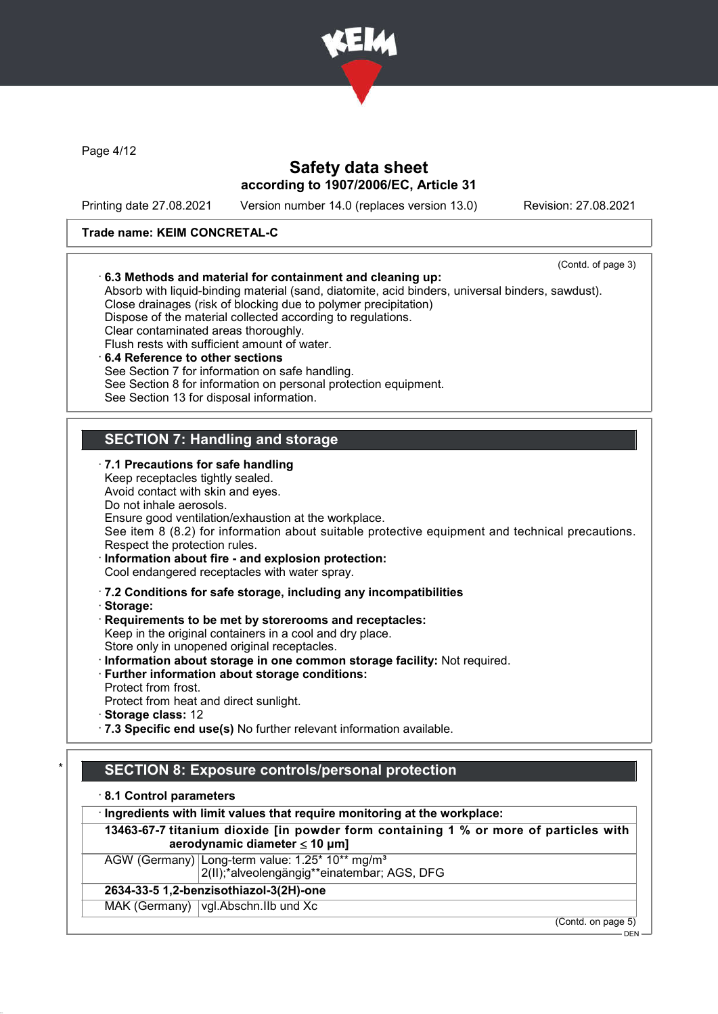

Page 4/12

## Safety data sheet according to 1907/2006/EC, Article 31

Printing date 27.08.2021 Version number 14.0 (replaces version 13.0) Revision: 27.08.2021

### Trade name: KEIM CONCRETAL-C



· Ingredients with limit values that require monitoring at the workplace:

13463-67-7 titanium dioxide [in powder form containing 1 % or more of particles with aerodynamic diameter  $\leq 10 \mu m$ ]

AGW (Germany) Long-term value: 1.25\* 10\*\* mg/m<sup>3</sup>

2(II);\*alveolengängig\*\*einatembar; AGS, DFG

# 2634-33-5 1,2-benzisothiazol-3(2H)-one

MAK (Germany) vgl.Abschn.IIb und Xc

(Contd. on page 5)

DEN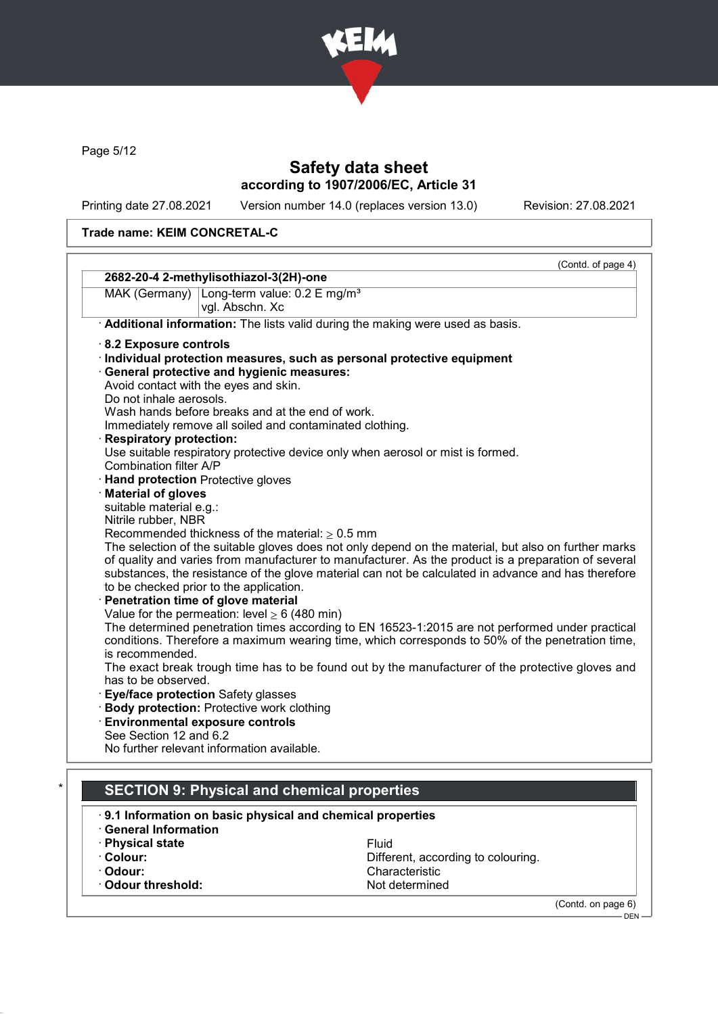

Page 5/12

# Safety data sheet according to 1907/2006/EC, Article 31

Printing date 27.08.2021 Version number 14.0 (replaces version 13.0) Revision: 27.08.2021

## Trade name: KEIM CONCRETAL-C

|                                                            | (Contd. of page 4)                                                                                   |
|------------------------------------------------------------|------------------------------------------------------------------------------------------------------|
| 2682-20-4 2-methylisothiazol-3(2H)-one                     |                                                                                                      |
| Long-term value: 0.2 E mg/m <sup>3</sup><br>MAK (Germany)  |                                                                                                      |
| vgl. Abschn. Xc                                            |                                                                                                      |
|                                                            | Additional information: The lists valid during the making were used as basis.                        |
| 8.2 Exposure controls                                      |                                                                                                      |
|                                                            | · Individual protection measures, such as personal protective equipment                              |
| · General protective and hygienic measures:                |                                                                                                      |
| Avoid contact with the eyes and skin.                      |                                                                                                      |
| Do not inhale aerosols.                                    |                                                                                                      |
| Wash hands before breaks and at the end of work.           |                                                                                                      |
| Immediately remove all soiled and contaminated clothing.   |                                                                                                      |
| <b>Respiratory protection:</b>                             |                                                                                                      |
|                                                            | Use suitable respiratory protective device only when aerosol or mist is formed.                      |
| Combination filter A/P                                     |                                                                                                      |
| · Hand protection Protective gloves                        |                                                                                                      |
| <b>Material of gloves</b>                                  |                                                                                                      |
| suitable material e.g.:                                    |                                                                                                      |
| Nitrile rubber, NBR                                        |                                                                                                      |
| Recommended thickness of the material: $\geq 0.5$ mm       |                                                                                                      |
|                                                            | The selection of the suitable gloves does not only depend on the material, but also on further marks |
|                                                            | of quality and varies from manufacturer to manufacturer. As the product is a preparation of several  |
|                                                            | substances, the resistance of the glove material can not be calculated in advance and has therefore  |
| to be checked prior to the application.                    |                                                                                                      |
| Penetration time of glove material                         |                                                                                                      |
| Value for the permeation: level $\geq 6$ (480 min)         |                                                                                                      |
|                                                            | The determined penetration times according to EN 16523-1:2015 are not performed under practical      |
|                                                            | conditions. Therefore a maximum wearing time, which corresponds to 50% of the penetration time,      |
| is recommended.                                            |                                                                                                      |
|                                                            | The exact break trough time has to be found out by the manufacturer of the protective gloves and     |
| has to be observed.                                        |                                                                                                      |
|                                                            |                                                                                                      |
| Eye/face protection Safety glasses                         |                                                                                                      |
| <b>Body protection: Protective work clothing</b>           |                                                                                                      |
| <b>Environmental exposure controls</b>                     |                                                                                                      |
| See Section 12 and 6.2                                     |                                                                                                      |
| No further relevant information available.                 |                                                                                                      |
|                                                            |                                                                                                      |
| <b>SECTION 9: Physical and chemical properties</b>         |                                                                                                      |
|                                                            |                                                                                                      |
| .9.1 Information on basic physical and chemical properties |                                                                                                      |
| <b>General Information</b>                                 |                                                                                                      |
| · Physical state                                           | Fluid                                                                                                |
| · Colour:                                                  | Different, according to colouring.                                                                   |
| · Odour:                                                   | Characteristic                                                                                       |

· Odour threshold: Not determined

(Contd. on page 6)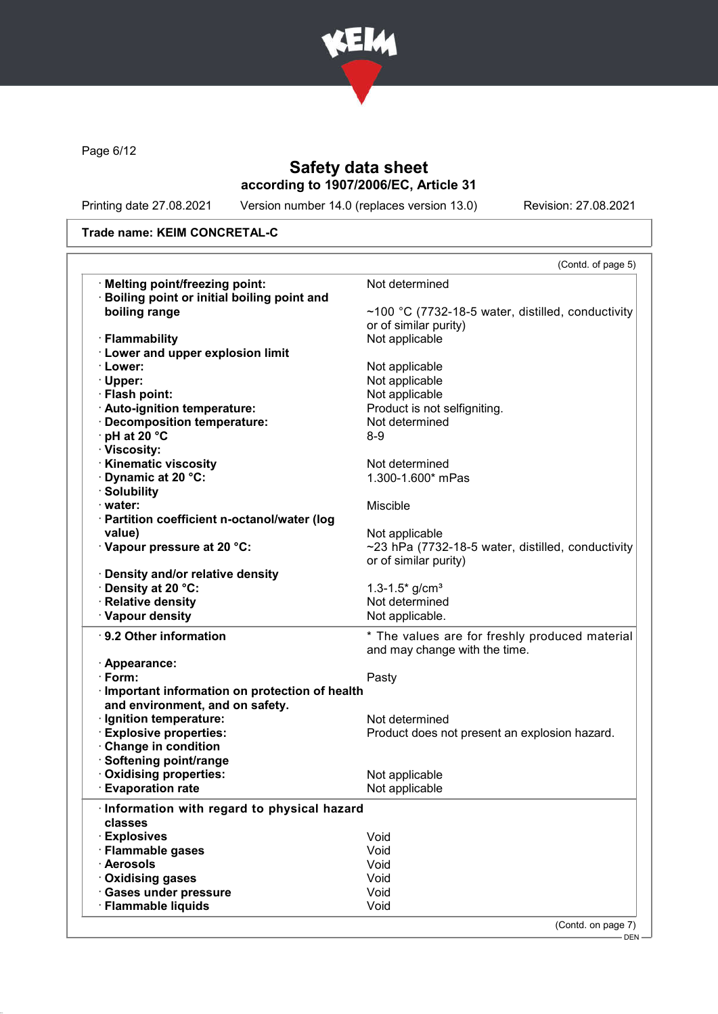

Page 6/12

# Safety data sheet according to 1907/2006/EC, Article 31

Printing date 27.08.2021 Version number 14.0 (replaces version 13.0) Revision: 27.08.2021

### Trade name: KEIM CONCRETAL-C

|                                                 | (Contd. of page 5)                                |
|-------------------------------------------------|---------------------------------------------------|
| · Melting point/freezing point:                 | Not determined                                    |
| · Boiling point or initial boiling point and    |                                                   |
| boiling range                                   | ~100 °C (7732-18-5 water, distilled, conductivity |
|                                                 | or of similar purity)                             |
| · Flammability                                  | Not applicable                                    |
| <b>Lower and upper explosion limit</b>          |                                                   |
| · Lower:                                        | Not applicable                                    |
| $\cdot$ Upper:                                  | Not applicable                                    |
| · Flash point:                                  | Not applicable                                    |
| · Auto-ignition temperature:                    | Product is not selfigniting.                      |
| Decomposition temperature:                      | Not determined                                    |
| $\cdot$ pH at 20 $\degree$ C                    | $8 - 9$                                           |
| · Viscosity:                                    |                                                   |
|                                                 | Not determined                                    |
| · Kinematic viscosity                           |                                                   |
| · Dynamic at 20 °C:                             | 1.300-1.600* mPas                                 |
| · Solubility                                    |                                                   |
| $\cdot$ water:                                  | Miscible                                          |
| · Partition coefficient n-octanol/water (log    |                                                   |
| value)                                          | Not applicable                                    |
| · Vapour pressure at 20 °C:                     | ~23 hPa (7732-18-5 water, distilled, conductivity |
|                                                 | or of similar purity)                             |
| · Density and/or relative density               |                                                   |
| · Density at 20 °C:                             | 1.3-1.5 $*$ g/cm <sup>3</sup>                     |
| · Relative density                              | Not determined                                    |
| · Vapour density                                | Not applicable.                                   |
| ⋅ 9.2 Other information                         | * The values are for freshly produced material    |
|                                                 | and may change with the time.                     |
| · Appearance:                                   |                                                   |
| $\cdot$ Form:                                   | Pasty                                             |
| · Important information on protection of health |                                                   |
| and environment, and on safety.                 |                                                   |
| · Ignition temperature:                         | Not determined                                    |
| <b>Explosive properties:</b>                    | Product does not present an explosion hazard.     |
| Change in condition                             |                                                   |
| · Softening point/range                         |                                                   |
|                                                 |                                                   |
| Oxidising properties:                           | Not applicable                                    |
| <b>Evaporation rate</b>                         | Not applicable                                    |
| Information with regard to physical hazard      |                                                   |
| classes                                         |                                                   |
| · Explosives                                    | Void                                              |
|                                                 |                                                   |
|                                                 |                                                   |
| · Flammable gases                               | Void                                              |
| · Aerosols                                      | Void                                              |
| Oxidising gases                                 | Void                                              |
| · Gases under pressure<br>· Flammable liquids   | Void<br>Void                                      |

DEN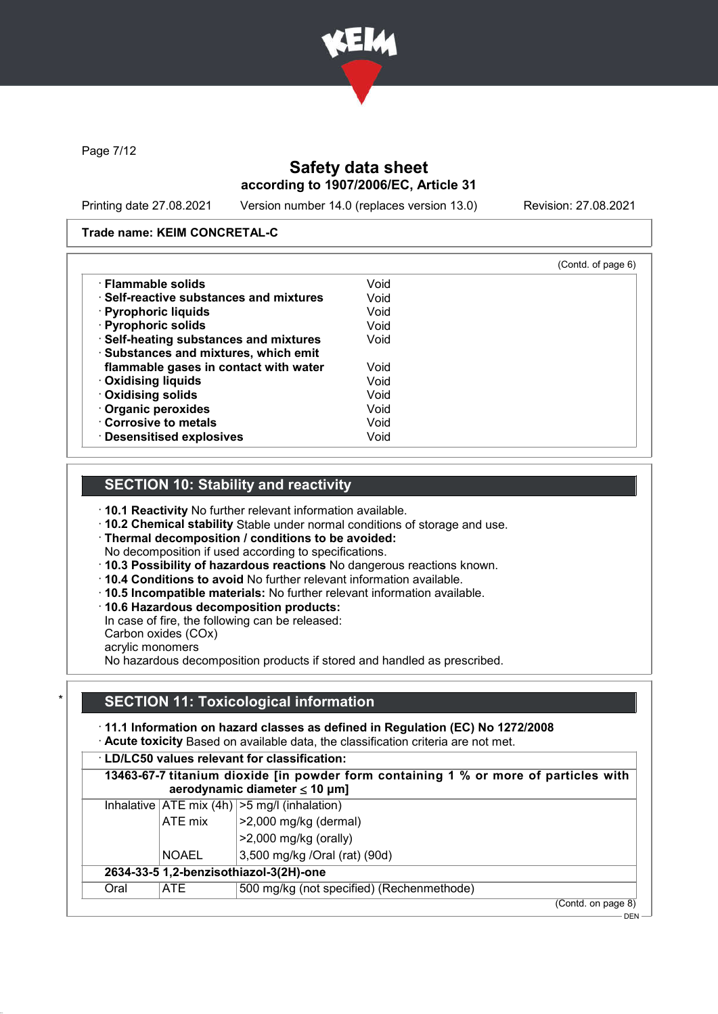

Page 7/12

# Safety data sheet according to 1907/2006/EC, Article 31

Printing date 27.08.2021 Version number 14.0 (replaces version 13.0) Revision: 27.08.2021

#### Trade name: KEIM CONCRETAL-C

|                                               |      | (Contd. of page 6) |
|-----------------------------------------------|------|--------------------|
| · Flammable solids                            | Void |                    |
| $\cdot$ Self-reactive substances and mixtures | Void |                    |
| $\cdot$ Pyrophoric liquids                    | Void |                    |
| · Pyrophoric solids                           | Void |                    |
| · Self-heating substances and mixtures        | Void |                    |
| · Substances and mixtures, which emit         |      |                    |
| flammable gases in contact with water         | Void |                    |
| · Oxidising liquids                           | Void |                    |
| Oxidising solids                              | Void |                    |
| Organic peroxides                             | Void |                    |
| Corrosive to metals                           | Void |                    |
| · Desensitised explosives                     | Void |                    |

## SECTION 10: Stability and reactivity

· 10.1 Reactivity No further relevant information available.

· 10.2 Chemical stability Stable under normal conditions of storage and use.

· Thermal decomposition / conditions to be avoided:

No decomposition if used according to specifications.

- · 10.3 Possibility of hazardous reactions No dangerous reactions known.
- · 10.4 Conditions to avoid No further relevant information available.
- · 10.5 Incompatible materials: No further relevant information available.
- · 10.6 Hazardous decomposition products:

In case of fire, the following can be released:

Carbon oxides (COx)

acrylic monomers

No hazardous decomposition products if stored and handled as prescribed.

## SECTION 11: Toxicological information

· 11.1 Information on hazard classes as defined in Regulation (EC) No 1272/2008

· Acute toxicity Based on available data, the classification criteria are not met.

|                                        |              | 13463-67-7 titanium dioxide [in powder form containing 1 % or more of particles with<br>aerodynamic diameter $\leq 10$ µm] |
|----------------------------------------|--------------|----------------------------------------------------------------------------------------------------------------------------|
|                                        |              | Inhalative $ ATE \text{ mix } (4h)   > 5 \text{ mg/l } (inhalation)$                                                       |
|                                        | ATE mix      | $>2,000$ mg/kg (dermal)                                                                                                    |
|                                        |              | $>2,000$ mg/kg (orally)                                                                                                    |
|                                        | <b>NOAEL</b> | 3,500 mg/kg /Oral (rat) (90d)                                                                                              |
| 2634-33-5 1,2-benzisothiazol-3(2H)-one |              |                                                                                                                            |
| Oral                                   | ATE.         | 500 mg/kg (not specified) (Rechenmethode)                                                                                  |
|                                        |              | (Contd. on page 8)                                                                                                         |

DEN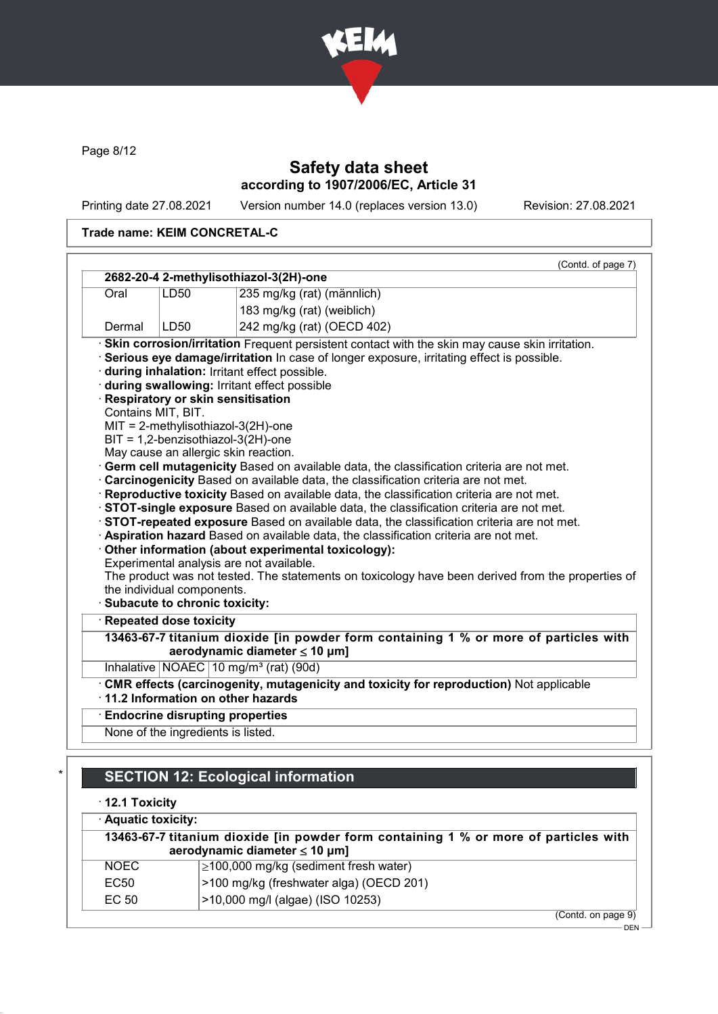

Page 8/12

# Safety data sheet according to 1907/2006/EC, Article 31

Printing date 27.08.2021 Version number 14.0 (replaces version 13.0) Revision: 27.08.2021

## Trade name: KEIM CONCRETAL-C

|                       |                                                             | (Contd. of page 7)                                                                                                                                                                                                                                                                                                                                                                                                                                                                                                                                                                                                                                                                                                                                                                                                                                                                                                                                                                                                                                                                                                                                                                                                                      |  |
|-----------------------|-------------------------------------------------------------|-----------------------------------------------------------------------------------------------------------------------------------------------------------------------------------------------------------------------------------------------------------------------------------------------------------------------------------------------------------------------------------------------------------------------------------------------------------------------------------------------------------------------------------------------------------------------------------------------------------------------------------------------------------------------------------------------------------------------------------------------------------------------------------------------------------------------------------------------------------------------------------------------------------------------------------------------------------------------------------------------------------------------------------------------------------------------------------------------------------------------------------------------------------------------------------------------------------------------------------------|--|
|                       |                                                             | 2682-20-4 2-methylisothiazol-3(2H)-one                                                                                                                                                                                                                                                                                                                                                                                                                                                                                                                                                                                                                                                                                                                                                                                                                                                                                                                                                                                                                                                                                                                                                                                                  |  |
| Oral                  | LD50                                                        | 235 mg/kg (rat) (männlich)                                                                                                                                                                                                                                                                                                                                                                                                                                                                                                                                                                                                                                                                                                                                                                                                                                                                                                                                                                                                                                                                                                                                                                                                              |  |
|                       |                                                             | 183 mg/kg (rat) (weiblich)                                                                                                                                                                                                                                                                                                                                                                                                                                                                                                                                                                                                                                                                                                                                                                                                                                                                                                                                                                                                                                                                                                                                                                                                              |  |
| Dermal                | LD50                                                        | 242 mg/kg (rat) (OECD 402)                                                                                                                                                                                                                                                                                                                                                                                                                                                                                                                                                                                                                                                                                                                                                                                                                                                                                                                                                                                                                                                                                                                                                                                                              |  |
|                       | Contains MIT, BIT.                                          | · Skin corrosion/irritation Frequent persistent contact with the skin may cause skin irritation.<br>· Serious eye damage/irritation In case of longer exposure, irritating effect is possible.<br>during inhalation: Irritant effect possible.<br>during swallowing: Irritant effect possible<br>· Respiratory or skin sensitisation<br>$MIT = 2-methylisothiazol-3(2H)-one$<br>$BIT = 1,2$ -benzisothiazol-3(2H)-one<br>May cause an allergic skin reaction.<br>· Germ cell mutagenicity Based on available data, the classification criteria are not met.<br>· Carcinogenicity Based on available data, the classification criteria are not met.<br>· Reproductive toxicity Based on available data, the classification criteria are not met.<br>STOT-single exposure Based on available data, the classification criteria are not met.<br>STOT-repeated exposure Based on available data, the classification criteria are not met.<br>· Aspiration hazard Based on available data, the classification criteria are not met.<br>· Other information (about experimental toxicology):<br>Experimental analysis are not available.<br>The product was not tested. The statements on toxicology have been derived from the properties of |  |
|                       | the individual components.<br>Subacute to chronic toxicity: |                                                                                                                                                                                                                                                                                                                                                                                                                                                                                                                                                                                                                                                                                                                                                                                                                                                                                                                                                                                                                                                                                                                                                                                                                                         |  |
|                       | · Repeated dose toxicity                                    |                                                                                                                                                                                                                                                                                                                                                                                                                                                                                                                                                                                                                                                                                                                                                                                                                                                                                                                                                                                                                                                                                                                                                                                                                                         |  |
|                       |                                                             | 13463-67-7 titanium dioxide [in powder form containing 1 % or more of particles with<br>aerodynamic diameter $\leq 10$ µm]                                                                                                                                                                                                                                                                                                                                                                                                                                                                                                                                                                                                                                                                                                                                                                                                                                                                                                                                                                                                                                                                                                              |  |
|                       |                                                             | Inhalative NOAEC 10 mg/m <sup>3</sup> (rat) (90d)                                                                                                                                                                                                                                                                                                                                                                                                                                                                                                                                                                                                                                                                                                                                                                                                                                                                                                                                                                                                                                                                                                                                                                                       |  |
|                       |                                                             | . CMR effects (carcinogenity, mutagenicity and toxicity for reproduction) Not applicable<br>11.2 Information on other hazards                                                                                                                                                                                                                                                                                                                                                                                                                                                                                                                                                                                                                                                                                                                                                                                                                                                                                                                                                                                                                                                                                                           |  |
|                       |                                                             | <b>Endocrine disrupting properties</b>                                                                                                                                                                                                                                                                                                                                                                                                                                                                                                                                                                                                                                                                                                                                                                                                                                                                                                                                                                                                                                                                                                                                                                                                  |  |
|                       | None of the ingredients is listed.                          |                                                                                                                                                                                                                                                                                                                                                                                                                                                                                                                                                                                                                                                                                                                                                                                                                                                                                                                                                                                                                                                                                                                                                                                                                                         |  |
|                       |                                                             |                                                                                                                                                                                                                                                                                                                                                                                                                                                                                                                                                                                                                                                                                                                                                                                                                                                                                                                                                                                                                                                                                                                                                                                                                                         |  |
|                       |                                                             | <b>SECTION 12: Ecological information</b>                                                                                                                                                                                                                                                                                                                                                                                                                                                                                                                                                                                                                                                                                                                                                                                                                                                                                                                                                                                                                                                                                                                                                                                               |  |
| $\cdot$ 12.1 Toxicity |                                                             |                                                                                                                                                                                                                                                                                                                                                                                                                                                                                                                                                                                                                                                                                                                                                                                                                                                                                                                                                                                                                                                                                                                                                                                                                                         |  |
| · Aquatic toxicity:   |                                                             |                                                                                                                                                                                                                                                                                                                                                                                                                                                                                                                                                                                                                                                                                                                                                                                                                                                                                                                                                                                                                                                                                                                                                                                                                                         |  |
|                       |                                                             | 13463-67-7 titanium dioxide [in powder form containing 1 % or more of particles with<br>aerodynamic diameter $\leq 10$ µm]                                                                                                                                                                                                                                                                                                                                                                                                                                                                                                                                                                                                                                                                                                                                                                                                                                                                                                                                                                                                                                                                                                              |  |

| EC 50       | >10,000 mg/l (algae) (ISO 10253)        |  |
|-------------|-----------------------------------------|--|
| EC50        | >100 mg/kg (freshwater alga) (OECD 201) |  |
| <b>NOEC</b> | ≥100,000 mg/kg (sediment fresh water)   |  |

(Contd. on page 9) –<br>DEN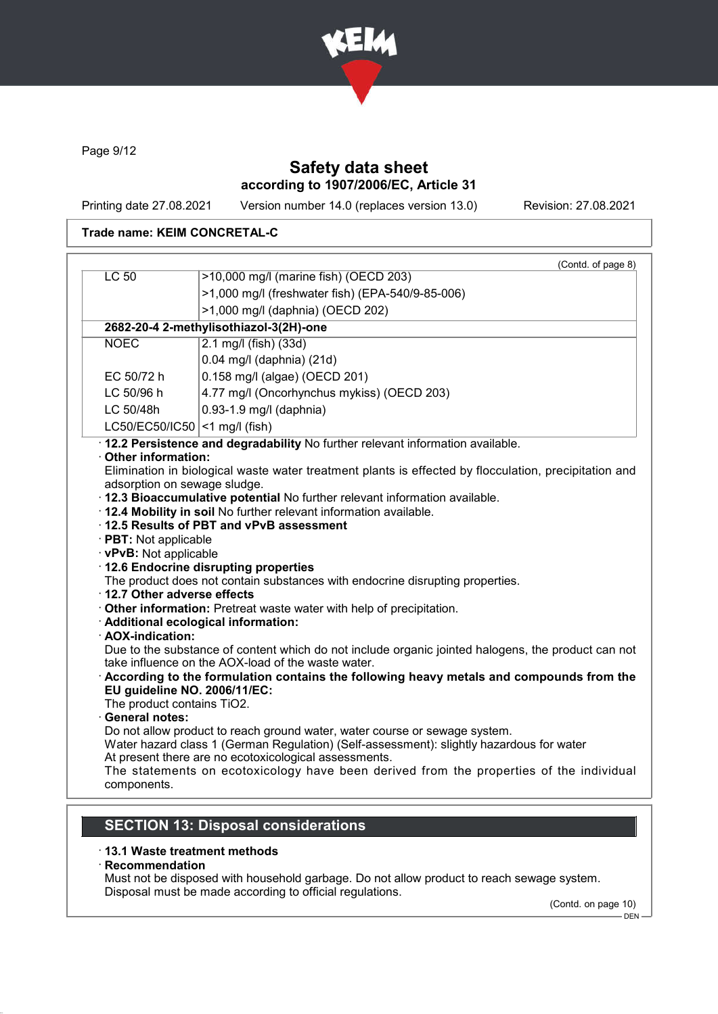

Page 9/12

# Safety data sheet according to 1907/2006/EC, Article 31

Printing date 27.08.2021 Version number 14.0 (replaces version 13.0) Revision: 27.08.2021

### Trade name: KEIM CONCRETAL-C

|                              | (Contd. of page 8)                                                                                                                                       |  |  |  |
|------------------------------|----------------------------------------------------------------------------------------------------------------------------------------------------------|--|--|--|
|                              | >10,000 mg/l (marine fish) (OECD 203)<br>LC 50                                                                                                           |  |  |  |
|                              | >1,000 mg/l (freshwater fish) (EPA-540/9-85-006)                                                                                                         |  |  |  |
|                              | >1,000 mg/l (daphnia) (OECD 202)                                                                                                                         |  |  |  |
|                              | 2682-20-4 2-methylisothiazol-3(2H)-one                                                                                                                   |  |  |  |
| <b>NOEC</b>                  | 2.1 mg/l (fish) (33d)                                                                                                                                    |  |  |  |
|                              | 0.04 mg/l (daphnia) (21d)                                                                                                                                |  |  |  |
| EC 50/72 h                   | 0.158 mg/l (algae) (OECD 201)                                                                                                                            |  |  |  |
| LC 50/96 h                   | 4.77 mg/l (Oncorhynchus mykiss) (OECD 203)                                                                                                               |  |  |  |
| LC 50/48h                    | 0.93-1.9 mg/l (daphnia)                                                                                                                                  |  |  |  |
|                              | LC50/EC50/IC50 <1 mg/l (fish)                                                                                                                            |  |  |  |
|                              | · 12.2 Persistence and degradability No further relevant information available.                                                                          |  |  |  |
| Other information:           |                                                                                                                                                          |  |  |  |
|                              | Elimination in biological waste water treatment plants is effected by flocculation, precipitation and                                                    |  |  |  |
| adsorption on sewage sludge. | · 12.3 Bioaccumulative potential No further relevant information available.                                                                              |  |  |  |
|                              | . 12.4 Mobility in soil No further relevant information available.                                                                                       |  |  |  |
|                              | 12.5 Results of PBT and vPvB assessment                                                                                                                  |  |  |  |
| · PBT: Not applicable        |                                                                                                                                                          |  |  |  |
| · vPvB: Not applicable       |                                                                                                                                                          |  |  |  |
|                              | 12.6 Endocrine disrupting properties                                                                                                                     |  |  |  |
| 12.7 Other adverse effects   | The product does not contain substances with endocrine disrupting properties.                                                                            |  |  |  |
|                              | Other information: Pretreat waste water with help of precipitation.                                                                                      |  |  |  |
|                              | · Additional ecological information:                                                                                                                     |  |  |  |
| · AOX-indication:            |                                                                                                                                                          |  |  |  |
|                              | Due to the substance of content which do not include organic jointed halogens, the product can not<br>take influence on the AOX-load of the waste water. |  |  |  |
|                              | According to the formulation contains the following heavy metals and compounds from the                                                                  |  |  |  |
| EU guideline NO. 2006/11/EC: |                                                                                                                                                          |  |  |  |
|                              | The product contains TiO2.                                                                                                                               |  |  |  |
|                              | · General notes:<br>Do not allow product to reach ground water, water course or sewage system.                                                           |  |  |  |
|                              | Water hazard class 1 (German Regulation) (Self-assessment): slightly hazardous for water                                                                 |  |  |  |
|                              | At present there are no ecotoxicological assessments.                                                                                                    |  |  |  |
|                              | The statements on ecotoxicology have been derived from the properties of the individual                                                                  |  |  |  |
| components.                  |                                                                                                                                                          |  |  |  |
|                              |                                                                                                                                                          |  |  |  |
|                              | <b>SECTION 13: Disposal considerations</b>                                                                                                               |  |  |  |
|                              |                                                                                                                                                          |  |  |  |

## · 13.1 Waste treatment methods

· Recommendation Must not be disposed with household garbage. Do not allow product to reach sewage system. Disposal must be made according to official regulations.

(Contd. on page 10)

– DEN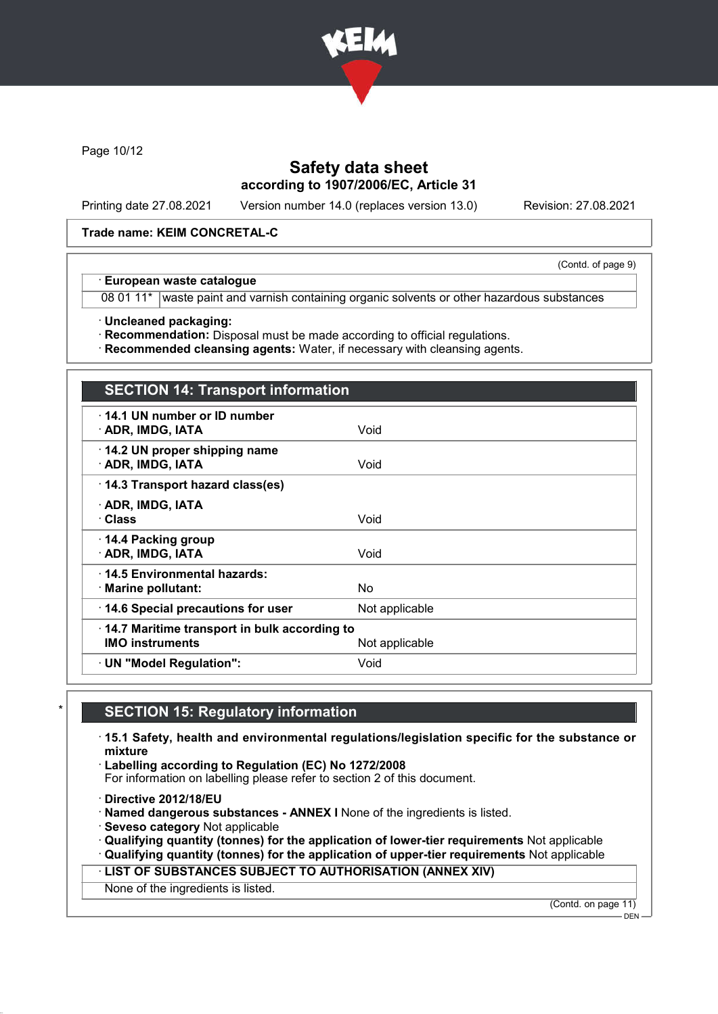

Page 10/12

# Safety data sheet according to 1907/2006/EC, Article 31

Printing date 27.08.2021 Version number 14.0 (replaces version 13.0) Revision: 27.08.2021

(Contd. of page 9)

#### Trade name: KEIM CONCRETAL-C

#### · European waste catalogue

08 01 11\* waste paint and varnish containing organic solvents or other hazardous substances

· Uncleaned packaging:

· Recommendation: Disposal must be made according to official regulations.

· Recommended cleansing agents: Water, if necessary with cleansing agents.

# **SECTION 14: Transport information**

| 14.1 UN number or ID number<br>· ADR, IMDG, IATA                                         | Void           |  |
|------------------------------------------------------------------------------------------|----------------|--|
| 14.2 UN proper shipping name<br>· ADR, IMDG, IATA                                        | Void           |  |
| 14.3 Transport hazard class(es)                                                          |                |  |
| · ADR, IMDG, IATA<br>· Class                                                             | Void           |  |
| ⋅ 14.4 Packing group<br>· ADR, IMDG, IATA                                                | Void           |  |
| ⋅14.5 Environmental hazards:<br>· Marine pollutant:                                      | No.            |  |
| 14.6 Special precautions for user                                                        | Not applicable |  |
| 14.7 Maritime transport in bulk according to<br><b>IMO instruments</b><br>Not applicable |                |  |
| · UN "Model Regulation":                                                                 | Void           |  |
|                                                                                          |                |  |

## **SECTION 15: Regulatory information**

· 15.1 Safety, health and environmental regulations/legislation specific for the substance or mixture

· Labelling according to Regulation (EC) No 1272/2008

For information on labelling please refer to section 2 of this document.

· Directive 2012/18/EU

· Named dangerous substances - ANNEX I None of the ingredients is listed.

· Seveso category Not applicable

· Qualifying quantity (tonnes) for the application of lower-tier requirements Not applicable

· Qualifying quantity (tonnes) for the application of upper-tier requirements Not applicable · LIST OF SUBSTANCES SUBJECT TO AUTHORISATION (ANNEX XIV)

None of the ingredients is listed.

(Contd. on page 11)

DEN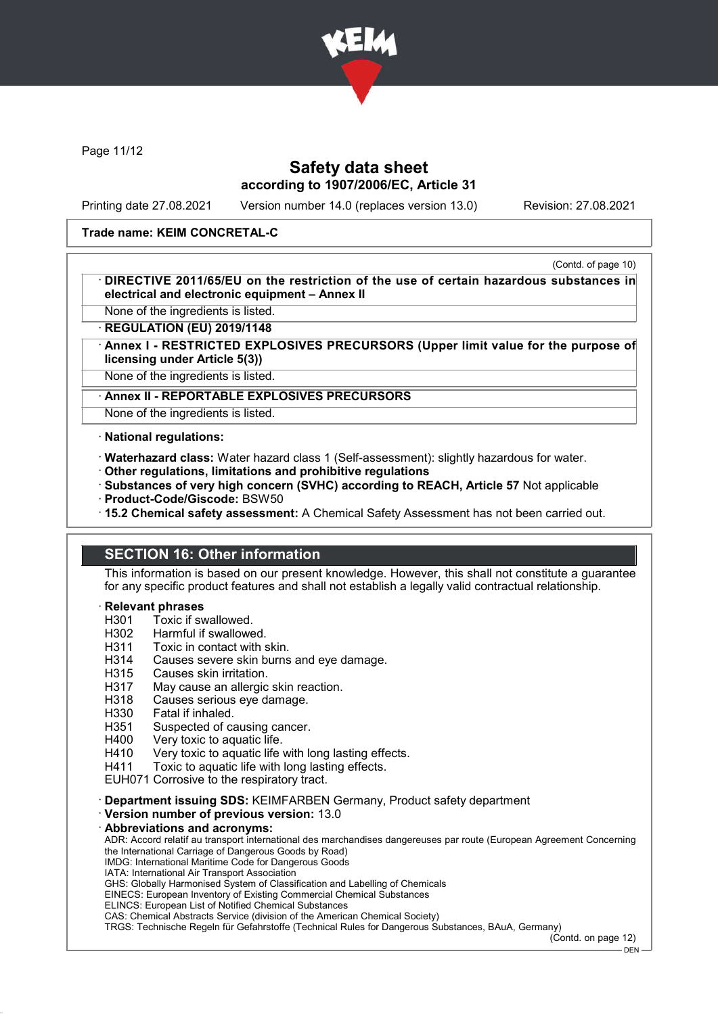

Page 11/12

## Safety data sheet according to 1907/2006/EC, Article 31

Printing date 27.08.2021 Version number 14.0 (replaces version 13.0) Revision: 27.08.2021

### Trade name: KEIM CONCRETAL-C

(Contd. of page 10) DIRECTIVE 2011/65/EU on the restriction of the use of certain hazardous substances in electrical and electronic equipment – Annex II

None of the ingredients is listed.

**REGULATION (EU) 2019/1148** 

Annex I - RESTRICTED EXPLOSIVES PRECURSORS (Upper limit value for the purpose of licensing under Article 5(3))

None of the ingredients is listed.

#### Annex II - REPORTABLE EXPLOSIVES PRECURSORS

None of the ingredients is listed.

· National regulations:

- · Waterhazard class: Water hazard class 1 (Self-assessment): slightly hazardous for water.
- · Other regulations, limitations and prohibitive regulations
- · Substances of very high concern (SVHC) according to REACH, Article 57 Not applicable
- · Product-Code/Giscode: BSW50
- · 15.2 Chemical safety assessment: A Chemical Safety Assessment has not been carried out.

## SECTION 16: Other information

This information is based on our present knowledge. However, this shall not constitute a guarantee for any specific product features and shall not establish a legally valid contractual relationship.

#### **Relevant phrases**

- H301 Toxic if swallowed.<br>H302 Harmful if swallowe
- H302 Harmful if swallowed.<br>H311 Toxic in contact with s
- H311 Toxic in contact with skin.<br>H314 Causes severe skin burns
- Causes severe skin burns and eye damage.
- H315 Causes skin irritation.
- H317 May cause an allergic skin reaction.
- H318 Causes serious eye damage.
- H330 Fatal if inhaled.
- H351 Suspected of causing cancer.
- H400 Very toxic to aquatic life.
- H410 Very toxic to aquatic life with long lasting effects.
- H411 Toxic to aquatic life with long lasting effects.
- EUH071 Corrosive to the respiratory tract.

· Department issuing SDS: KEIMFARBEN Germany, Product safety department

· Version number of previous version: 13.0

#### Abbreviations and acronyms:

ADR: Accord relatif au transport international des marchandises dangereuses par route (European Agreement Concerning the International Carriage of Dangerous Goods by Road)

- IMDG: International Maritime Code for Dangerous Goods IATA: International Air Transport Association
- GHS: Globally Harmonised System of Classification and Labelling of Chemicals

EINECS: European Inventory of Existing Commercial Chemical Substances

ELINCS: European List of Notified Chemical Substances

CAS: Chemical Abstracts Service (division of the American Chemical Society)

TRGS: Technische Regeln für Gefahrstoffe (Technical Rules for Dangerous Substances, BAuA, Germany)

(Contd. on page 12)